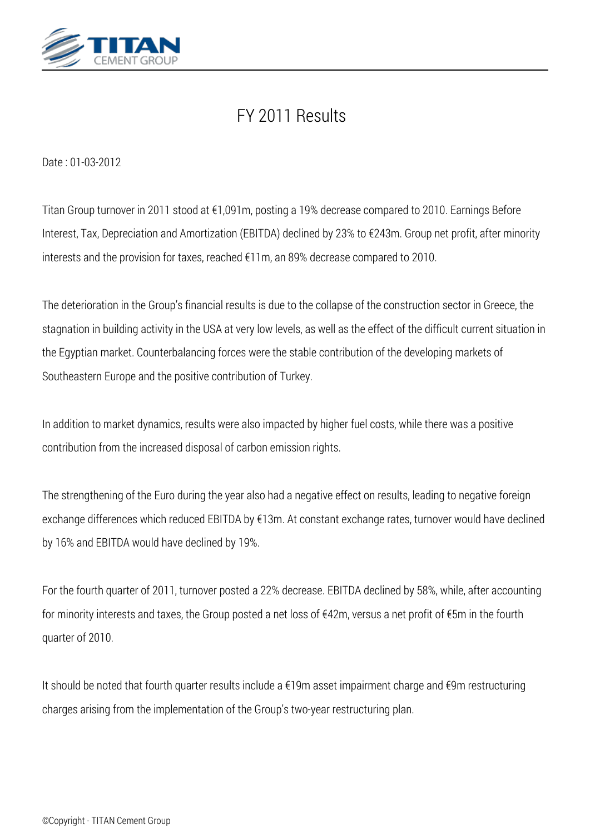

# *FY 2011 Results*

*Date : 01-03-2012*

*Titan Group turnover in 2011 stood at €1,091m, posting a 19% decrease compared to 2010. Earnings Before Interest, Tax, Depreciation and Amortization (EBITDA) declined by 23% to €243m. Group net profit, after minority interests and the provision for taxes, reached €11m, an 89% decrease compared to 2010.*

*The deterioration in the Group's financial results is due to the collapse of the construction sector in Greece, the stagnation in building activity in the USA at very low levels, as well as the effect of the difficult current situation in the Egyptian market. Counterbalancing forces were the stable contribution of the developing markets of Southeastern Europe and the positive contribution of Turkey.*

*In addition to market dynamics, results were also impacted by higher fuel costs, while there was a positive contribution from the increased disposal of carbon emission rights.*

*The strengthening of the Euro during the year also had a negative effect on results, leading to negative foreign exchange differences which reduced EBITDA by €13m. At constant exchange rates, turnover would have declined by 16% and EBITDA would have declined by 19%.*

*For the fourth quarter of 2011, turnover posted a 22% decrease. EBITDA declined by 58%, while, after accounting for minority interests and taxes, the Group posted a net loss of €42m, versus a net profit of €5m in the fourth quarter of 2010.*

*It should be noted that fourth quarter results include a €19m asset impairment charge and €9m restructuring charges arising from the implementation of the Group's two-year restructuring plan.*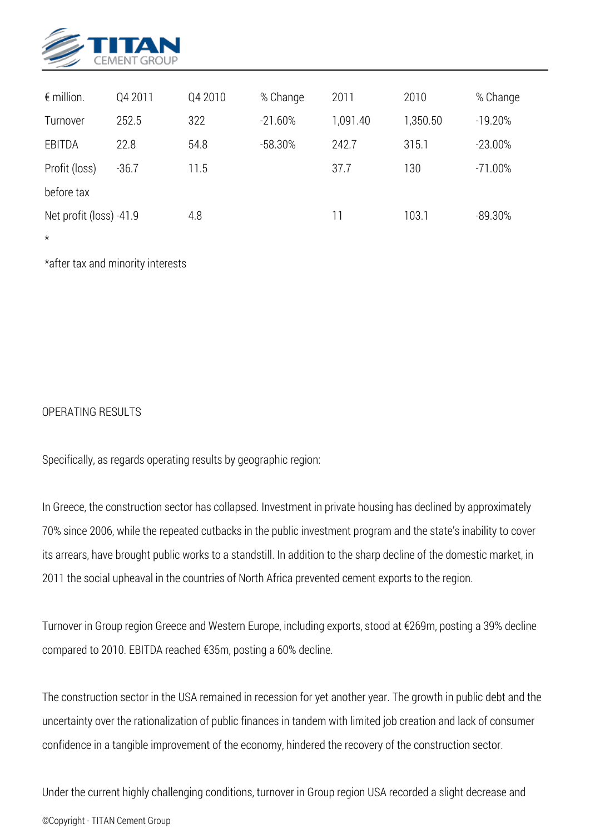

| $\epsilon$ million.     | Q4 2011 | Q4 2010 | % Change  | 2011     | 2010     | % Change   |
|-------------------------|---------|---------|-----------|----------|----------|------------|
| Turnover                | 252.5   | 322     | $-21.60%$ | 1,091.40 | 1,350.50 | $-19.20%$  |
| EBITDA                  | 22.8    | 54.8    | $-58.30%$ | 242.7    | 315.1    | $-23.00\%$ |
| Profit (loss)           | $-36.7$ | 11.5    |           | 37.7     | 130      | $-71.00\%$ |
| before tax              |         |         |           |          |          |            |
| Net profit (loss) -41.9 |         | 4.8     |           | 11       | 103.1    | $-89.30%$  |
| $\star$                 |         |         |           |          |          |            |

*\*after tax and minority interests*

## *OPERATING RESULTS*

*Specifically, as regards operating results by geographic region:*

*In Greece, the construction sector has collapsed. Investment in private housing has declined by approximately 70% since 2006, while the repeated cutbacks in the public investment program and the state's inability to cover its arrears, have brought public works to a standstill. In addition to the sharp decline of the domestic market, in 2011 the social upheaval in the countries of North Africa prevented cement exports to the region.*

*Turnover in Group region Greece and Western Europe, including exports, stood at €269m, posting a 39% decline compared to 2010. EBITDA reached €35m, posting a 60% decline.*

*The construction sector in the USA remained in recession for yet another year. The growth in public debt and the uncertainty over the rationalization of public finances in tandem with limited job creation and lack of consumer confidence in a tangible improvement of the economy, hindered the recovery of the construction sector.*

*Under the current highly challenging conditions, turnover in Group region USA recorded a slight decrease and ©Copyright - TITAN Cement Group*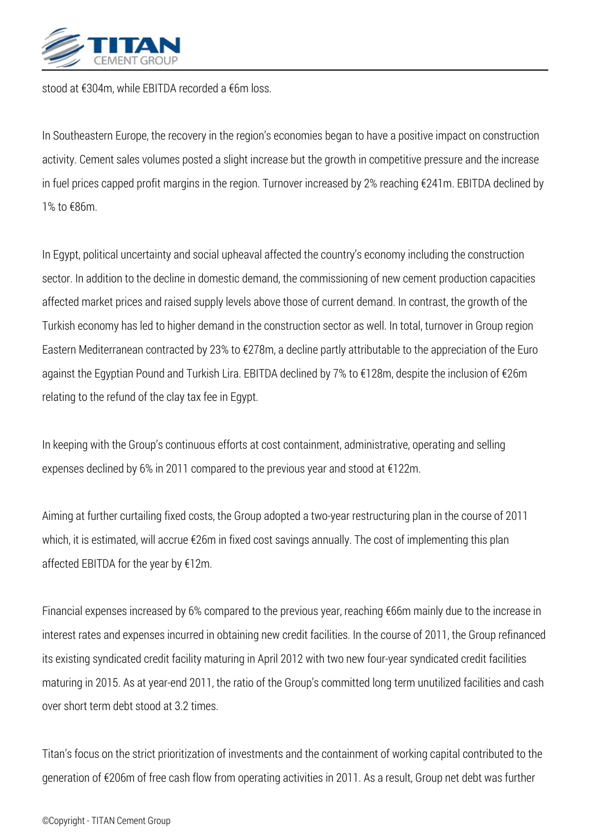

*stood at €304m, while EBITDA recorded a €6m loss.*

*In Southeastern Europe, the recovery in the region's economies began to have a positive impact on construction activity. Cement sales volumes posted a slight increase but the growth in competitive pressure and the increase in fuel prices capped profit margins in the region. Turnover increased by 2% reaching €241m. EBITDA declined by 1% to €86m.*

*In Egypt, political uncertainty and social upheaval affected the country's economy including the construction sector. In addition to the decline in domestic demand, the commissioning of new cement production capacities affected market prices and raised supply levels above those of current demand. In contrast, the growth of the Turkish economy has led to higher demand in the construction sector as well. In total, turnover in Group region Eastern Mediterranean contracted by 23% to €278m, a decline partly attributable to the appreciation of the Euro against the Egyptian Pound and Turkish Lira. EBITDA declined by 7% to €128m, despite the inclusion of €26m relating to the refund of the clay tax fee in Egypt.*

*In keeping with the Group's continuous efforts at cost containment, administrative, operating and selling expenses declined by 6% in 2011 compared to the previous year and stood at €122m.*

*Aiming at further curtailing fixed costs, the Group adopted a two-year restructuring plan in the course of 2011 which, it is estimated, will accrue €26m in fixed cost savings annually. The cost of implementing this plan affected EBITDA for the year by €12m.*

*Financial expenses increased by 6% compared to the previous year, reaching €66m mainly due to the increase in interest rates and expenses incurred in obtaining new credit facilities. In the course of 2011, the Group refinanced its existing syndicated credit facility maturing in April 2012 with two new four-year syndicated credit facilities maturing in 2015. As at year-end 2011, the ratio of the Group's committed long term unutilized facilities and cash over short term debt stood at 3.2 times.*

*Titan's focus on the strict prioritization of investments and the containment of working capital contributed to the generation of €206m of free cash flow from operating activities in 2011. As a result, Group net debt was further*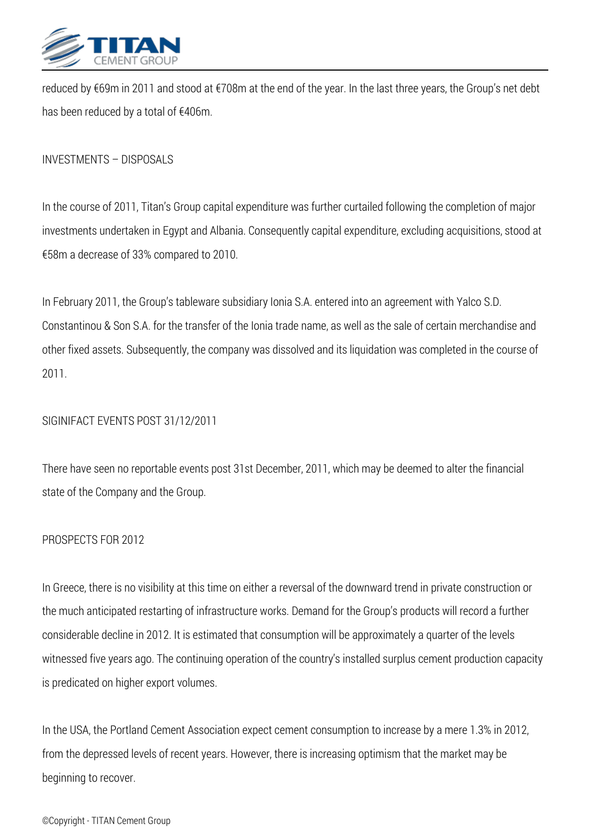

*reduced by €69m in 2011 and stood at €708m at the end of the year. In the last three years, the Group's net debt has been reduced by a total of €406m.*

*INVESTMENTS – DISPOSALS*

*In the course of 2011, Titan's Group capital expenditure was further curtailed following the completion of major investments undertaken in Egypt and Albania. Consequently capital expenditure, excluding acquisitions, stood at €58m a decrease of 33% compared to 2010.*

*In February 2011, the Group's tableware subsidiary Ionia S.A. entered into an agreement with Yalco S.D. Constantinou & Son S.A. for the transfer of the Ionia trade name, as well as the sale of certain merchandise and other fixed assets. Subsequently, the company was dissolved and its liquidation was completed in the course of 2011.*

## *SIGINIFACT EVENTS POST 31/12/2011*

*There have seen no reportable events post 31st December, 2011, which may be deemed to alter the financial state of the Company and the Group.*

## *PROSPECTS FOR 2012*

*In Greece, there is no visibility at this time on either a reversal of the downward trend in private construction or the much anticipated restarting of infrastructure works. Demand for the Group's products will record a further considerable decline in 2012. It is estimated that consumption will be approximately a quarter of the levels witnessed five years ago. The continuing operation of the country's installed surplus cement production capacity is predicated on higher export volumes.*

*In the USA, the Portland Cement Association expect cement consumption to increase by a mere 1.3% in 2012, from the depressed levels of recent years. However, there is increasing optimism that the market may be beginning to recover.*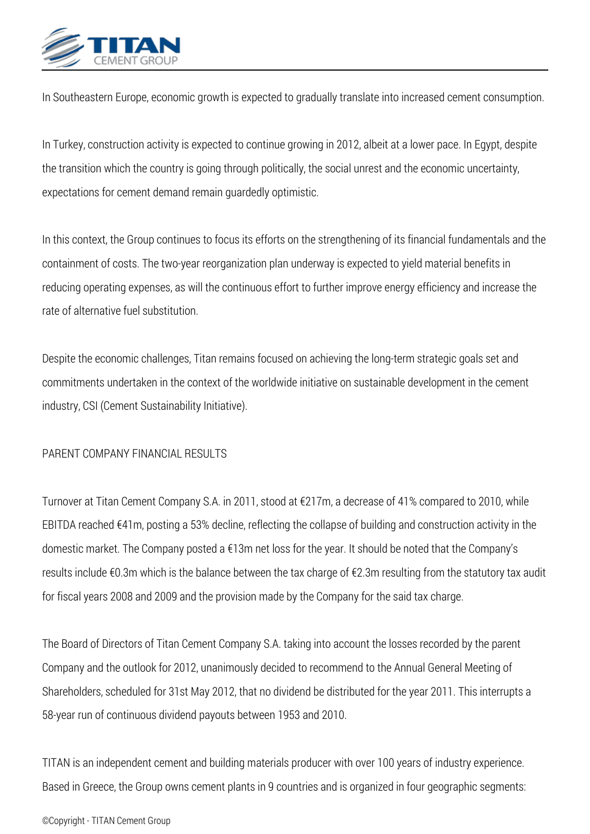

*In Southeastern Europe, economic growth is expected to gradually translate into increased cement consumption.*

*In Turkey, construction activity is expected to continue growing in 2012, albeit at a lower pace. In Egypt, despite the transition which the country is going through politically, the social unrest and the economic uncertainty, expectations for cement demand remain guardedly optimistic.*

*In this context, the Group continues to focus its efforts on the strengthening of its financial fundamentals and the containment of costs. The two-year reorganization plan underway is expected to yield material benefits in reducing operating expenses, as will the continuous effort to further improve energy efficiency and increase the rate of alternative fuel substitution.*

*Despite the economic challenges, Titan remains focused on achieving the long-term strategic goals set and commitments undertaken in the context of the worldwide initiative on sustainable development in the cement industry, CSI (Cement Sustainability Initiative).*

## *PARENT COMPANY FINANCIAL RESULTS*

*Turnover at Titan Cement Company S.A. in 2011, stood at €217m, a decrease of 41% compared to 2010, while EBITDA reached €41m, posting a 53% decline, reflecting the collapse of building and construction activity in the domestic market. The Company posted a €13m net loss for the year. It should be noted that the Company's results include €0.3m which is the balance between the tax charge of €2.3m resulting from the statutory tax audit for fiscal years 2008 and 2009 and the provision made by the Company for the said tax charge.*

*The Board of Directors of Titan Cement Company S.A. taking into account the losses recorded by the parent Company and the outlook for 2012, unanimously decided to recommend to the Annual General Meeting of Shareholders, scheduled for 31st May 2012, that no dividend be distributed for the year 2011. This interrupts a 58-year run of continuous dividend payouts between 1953 and 2010.*

*TITAN is an independent cement and building materials producer with over 100 years of industry experience. Based in Greece, the Group owns cement plants in 9 countries and is organized in four geographic segments:*